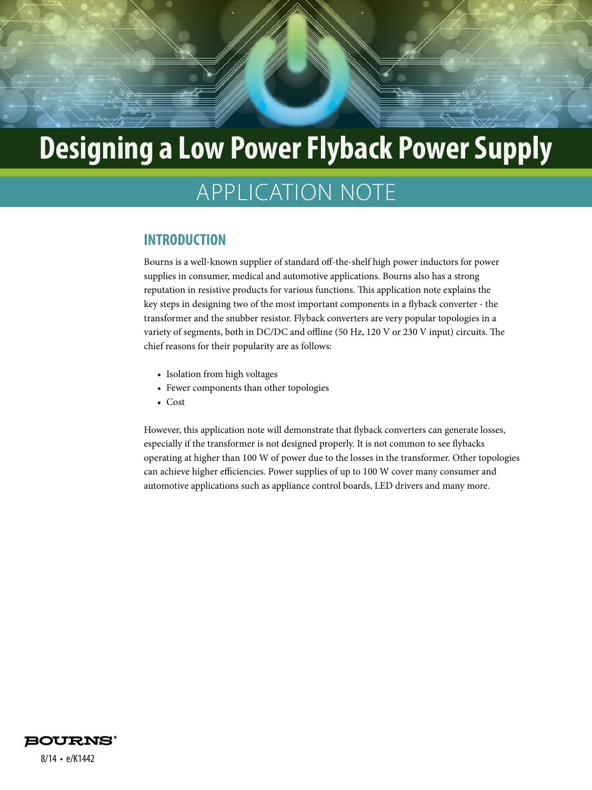# APPLICATION NOTE

#### **INTRODUCTION**

Bourns is a well-known supplier of standard off-the-shelf high power inductors for power supplies in consumer, medical and automotive applications. Bourns also has a strong reputation in resistive products for various functions. This application note explains the key steps in designing two of the most important components in a flyback converter - the transformer and the snubber resistor. Flyback converters are very popular topologies in a variety of segments, both in DC/DC and offline (50 Hz, 120 V or 230 V input) circuits. The chief reasons for their popularity are as follows:

- Isolation from high voltages
- Fewer components than other topologies
- Cost

However, this application note will demonstrate that flyback converters can generate losses, especially if the transformer is not designed properly. It is not common to see flybacks operating at higher than 100 W of power due to the losses in the transformer. Other topologies can achieve higher efficiencies. Power supplies of up to 100 W cover many consumer and automotive applications such as appliance control boards, LED drivers and many more.



8/14 • e/K1442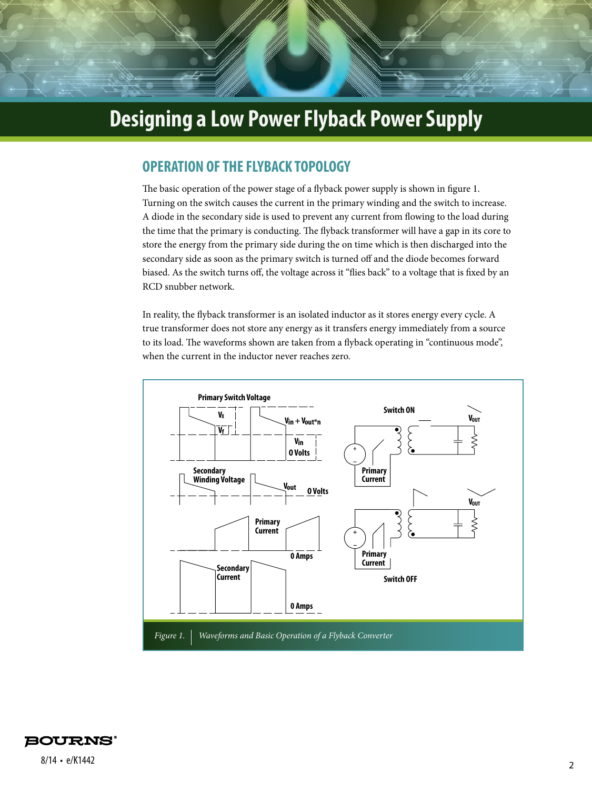#### **OPERATION OF THE FLYBACK TOPOLOGY**

The basic operation of the power stage of a flyback power supply is shown in figure 1. Turning on the switch causes the current in the primary winding and the switch to increase. A diode in the secondary side is used to prevent any current from flowing to the load during the time that the primary is conducting. The flyback transformer will have a gap in its core to store the energy from the primary side during the on time which is then discharged into the secondary side as soon as the primary switch is turned off and the diode becomes forward biased. As the switch turns off, the voltage across it "flies back" to a voltage that is fixed by an RCD snubber network.

In reality, the flyback transformer is an isolated inductor as it stores energy every cycle. A true transformer does not store any energy as it transfers energy immediately from a source to its load. The waveforms shown are taken from a flyback operating in "continuous mode", when the current in the inductor never reaches zero.



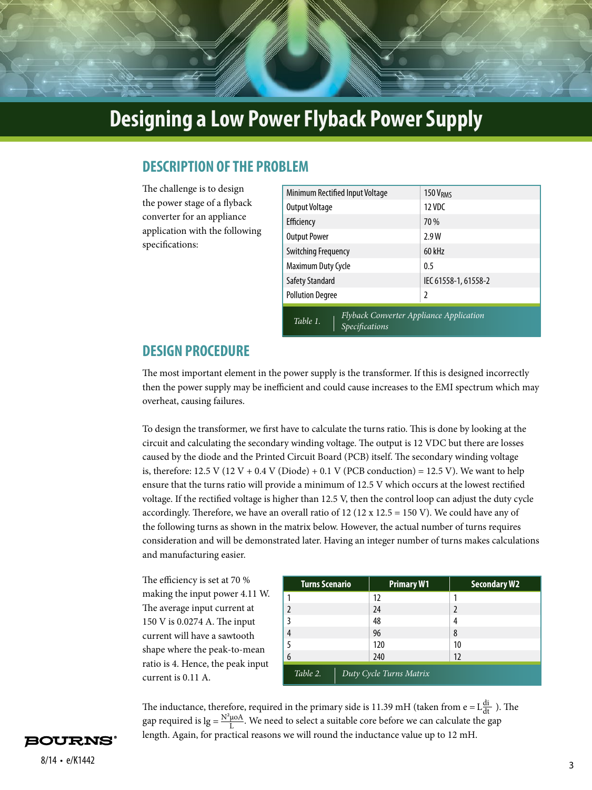#### **DESCRIPTION OF THE PROBLEM**

The challenge is to design the power stage of a flyback converter for an appliance application with the following specifications:

| Minimum Rectified Input Voltage                                                     | $150$ $VRMS$         |  |
|-------------------------------------------------------------------------------------|----------------------|--|
| Output Voltage                                                                      | $12$ VDC             |  |
| Efficiency                                                                          | 70 %                 |  |
| <b>Output Power</b>                                                                 | 2.9W                 |  |
| <b>Switching Frequency</b>                                                          | 60 kHz               |  |
| Maximum Duty Cycle                                                                  | 0.5                  |  |
| <b>Safety Standard</b>                                                              | IEC 61558-1, 61558-2 |  |
| <b>Pollution Degree</b>                                                             | 2                    |  |
| <b>Flyback Converter Appliance Application</b><br>Table 1.<br><b>Specifications</b> |                      |  |

#### **DESIGN PROCEDURE**

The most important element in the power supply is the transformer. If this is designed incorrectly then the power supply may be inefficient and could cause increases to the EMI spectrum which may overheat, causing failures.

To design the transformer, we first have to calculate the turns ratio. This is done by looking at the circuit and calculating the secondary winding voltage. The output is 12 VDC but there are losses caused by the diode and the Printed Circuit Board (PCB) itself. The secondary winding voltage is, therefore:  $12.5$  V ( $12$  V + 0.4 V (Diode) + 0.1 V (PCB conduction) =  $12.5$  V). We want to help ensure that the turns ratio will provide a minimum of 12.5 V which occurs at the lowest rectified voltage. If the rectified voltage is higher than 12.5 V, then the control loop can adjust the duty cycle accordingly. Therefore, we have an overall ratio of 12 (12 x 12.5 = 150 V). We could have any of the following turns as shown in the matrix below. However, the actual number of turns requires consideration and will be demonstrated later. Having an integer number of turns makes calculations and manufacturing easier.

The efficiency is set at 70 % making the input power 4.11 W. The average input current at 150 V is 0.0274 A. The input current will have a sawtooth shape where the peak-to-mean ratio is 4. Hence, the peak input current is 0.11 A.

| <b>Turns Scenario</b>               | <b>Primary W1</b> | <b>Secondary W2</b> |
|-------------------------------------|-------------------|---------------------|
|                                     | 12                |                     |
| 2                                   | 24                | $\mathfrak z$       |
| 3                                   | 48                | 4                   |
| 4                                   | 96                | 8                   |
| 5                                   | 120               | 10                  |
| 6                                   | 240               | 12                  |
| Table 2.<br>Duty Cycle Turns Matrix |                   |                     |

The inductance, therefore, required in the primary side is 11.39 mH (taken from e =  $L_{\frac{di}{dt}}^{di}$ ). The gap required is  $lg = \frac{N^2 \mu o A}{L}$ . We need to select a suitable core before we can calculate the gap length. Again, for practical reasons we will round the inductance value up to 12 mH.

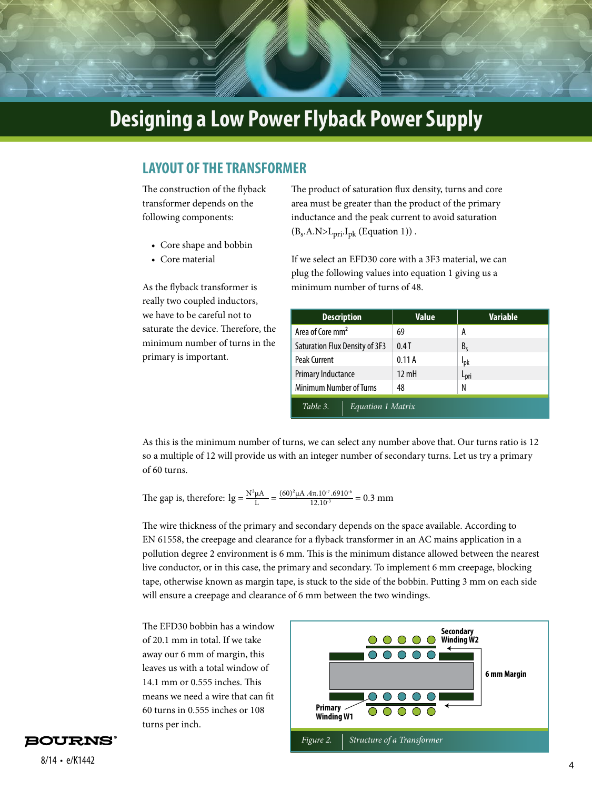#### **LAYOUT OF THE TRANSFORMER**

The construction of the flyback transformer depends on the following components:

- Core shape and bobbin
- Core material

As the flyback transformer is really two coupled inductors, we have to be careful not to saturate the device. Therefore, the minimum number of turns in the primary is important.

The product of saturation flux density, turns and core area must be greater than the product of the primary inductance and the peak current to avoid saturation  $(B_s.A.N>L_{pri}.I_{pk}$  (Equation 1)).

If we select an EFD30 core with a 3F3 material, we can plug the following values into equation 1 giving us a minimum number of turns of 48.

| <b>Description</b>             | <b>Value</b>    | <b>Variable</b>        |  |
|--------------------------------|-----------------|------------------------|--|
| Area of Core mm <sup>2</sup>   | 69              | А                      |  |
| Saturation Flux Density of 3F3 | 0.4T            | B <sub>c</sub>         |  |
| <b>Peak Current</b>            | 0.11A           | <b>I</b> <sub>pk</sub> |  |
| Primary Inductance             | $12 \text{ mH}$ | L <sub>pri</sub>       |  |
| <b>Minimum Number of Turns</b> | 48              | N                      |  |
| Table 3.<br>Equation 1 Matrix  |                 |                        |  |

As this is the minimum number of turns, we can select any number above that. Our turns ratio is 12 so a multiple of 12 will provide us with an integer number of secondary turns. Let us try a primary of 60 turns.

The gap is, therefore:  $lg = \frac{N^2 \mu A}{L} = \frac{(60)^2 \mu A A.4 \pi .10^{17} .6910^{16}}{12.10^{13}} = 0.3 \text{ mm}$ 

The wire thickness of the primary and secondary depends on the space available. According to EN 61558, the creepage and clearance for a flyback transformer in an AC mains application in a pollution degree 2 environment is 6 mm. This is the minimum distance allowed between the nearest live conductor, or in this case, the primary and secondary. To implement 6 mm creepage, blocking tape, otherwise known as margin tape, is stuck to the side of the bobbin. Putting 3 mm on each side will ensure a creepage and clearance of 6 mm between the two windings.

The EFD30 bobbin has a window of 20.1 mm in total. If we take away our 6 mm of margin, this leaves us with a total window of 14.1 mm or 0.555 inches. This means we need a wire that can fit 60 turns in 0.555 inches or 108 turns per inch.



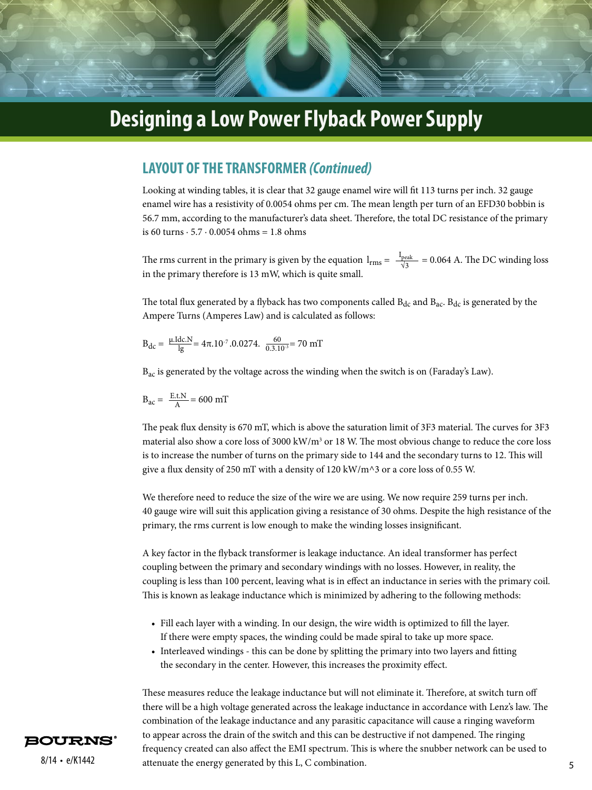#### **LAYOUT OF THE TRANSFORMER** *(Continued)*

Looking at winding tables, it is clear that 32 gauge enamel wire will fit 113 turns per inch. 32 gauge enamel wire has a resistivity of 0.0054 ohms per cm. The mean length per turn of an EFD30 bobbin is 56.7 mm, according to the manufacturer's data sheet. Therefore, the total DC resistance of the primary is 60 turns  $\cdot$  5.7  $\cdot$  0.0054 ohms = 1.8 ohms

The rms current in the primary is given by the equation  $l_{rms} = \frac{I_{peak}}{\sqrt{3}} = 0.064$  A. The DC winding loss in the primary therefore is 13 mW, which is quite small.

The total flux generated by a flyback has two components called  $B_{dc}$  and  $B_{ac}$ .  $B_{dc}$  is generated by the Ampere Turns (Amperes Law) and is calculated as follows:

$$
B_{dc} = \frac{\mu \text{Idc.} N}{\lg} = 4\pi .10^{-7} .0.0274. \frac{60}{0.3.10^{-3}} = 70 \text{ mT}
$$

 $B_{ac}$  is generated by the voltage across the winding when the switch is on (Faraday's Law).

$$
B_{ac} = \frac{E.t.N}{A} = 600 mT
$$

The peak flux density is 670 mT, which is above the saturation limit of 3F3 material. The curves for 3F3 material also show a core loss of 3000 kW/m<sup>3</sup> or 18 W. The most obvious change to reduce the core loss is to increase the number of turns on the primary side to 144 and the secondary turns to 12. This will give a flux density of 250 mT with a density of 120 kW/m^3 or a core loss of 0.55 W.

We therefore need to reduce the size of the wire we are using. We now require 259 turns per inch. 40 gauge wire will suit this application giving a resistance of 30 ohms. Despite the high resistance of the primary, the rms current is low enough to make the winding losses insignificant.

A key factor in the flyback transformer is leakage inductance. An ideal transformer has perfect coupling between the primary and secondary windings with no losses. However, in reality, the coupling is less than 100 percent, leaving what is in effect an inductance in series with the primary coil. This is known as leakage inductance which is minimized by adhering to the following methods:

- Fill each layer with a winding. In our design, the wire width is optimized to fill the layer. If there were empty spaces, the winding could be made spiral to take up more space.
- Interleaved windings this can be done by splitting the primary into two layers and fitting the secondary in the center. However, this increases the proximity effect.

8/14 • e/K1442 attenuate the energy generated by this L, C combination. 5 These measures reduce the leakage inductance but will not eliminate it. Therefore, at switch turn off there will be a high voltage generated across the leakage inductance in accordance with Lenz's law. The combination of the leakage inductance and any parasitic capacitance will cause a ringing waveform to appear across the drain of the switch and this can be destructive if not dampened. The ringing frequency created can also affect the EMI spectrum. This is where the snubber network can be used to

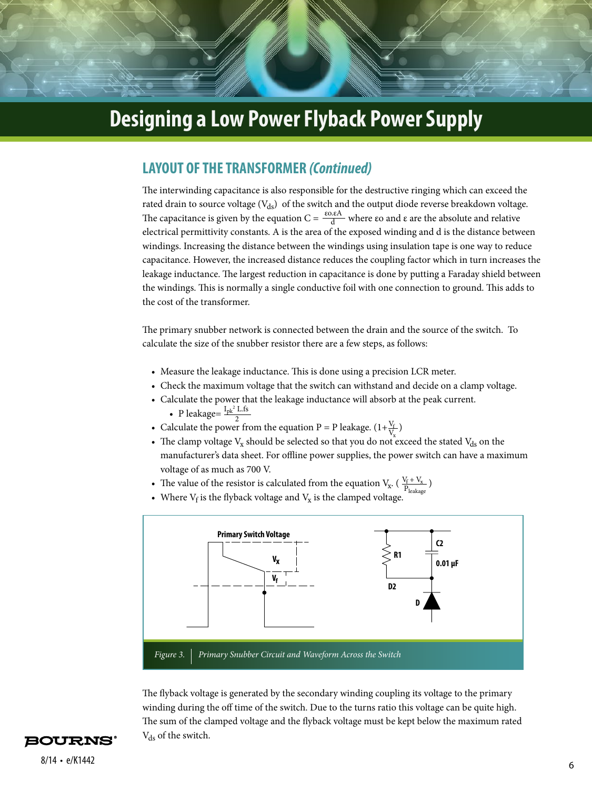#### **LAYOUT OF THE TRANSFORMER** *(Continued)*

The interwinding capacitance is also responsible for the destructive ringing which can exceed the rated drain to source voltage  $(V_{ds})$  of the switch and the output diode reverse breakdown voltage. The capacitance is given by the equation  $C = \frac{\varepsilon_0 \varepsilon A}{d}$  where  $\varepsilon_0$  and  $\varepsilon$  are the absolute and relative electrical permittivity constants. A is the area of the exposed winding and d is the distance between windings. Increasing the distance between the windings using insulation tape is one way to reduce capacitance. However, the increased distance reduces the coupling factor which in turn increases the leakage inductance. The largest reduction in capacitance is done by putting a Faraday shield between the windings. This is normally a single conductive foil with one connection to ground. This adds to the cost of the transformer. d

The primary snubber network is connected between the drain and the source of the switch. To calculate the size of the snubber resistor there are a few steps, as follows:

- Measure the leakage inductance. This is done using a precision LCR meter.
- Check the maximum voltage that the switch can withstand and decide on a clamp voltage.
- Calculate the power that the leakage inductance will absorb at the peak current. • P leakage= $\frac{I_{pk}^2 L f_s}{2}$
- Calculate the power from the equation P = P leakage.  $(1+\frac{v_f}{V})$  $\frac{V_{f}}{I}$  $\rm V_x$ 2
- The clamp voltage  $V_x$  should be selected so that you do not exceed the stated  $V_{ds}$  on the manufacturer's data sheet. For offline power supplies, the power switch can have a maximum voltage of as much as 700 V.
- The value of the resistor is calculated from the equation  $V_x$ .  $(\frac{V_f + V_x}{P_{1,1}})$ Pleakage
- Where  $V_f$  is the flyback voltage and  $V_x$  is the clamped voltage.



The flyback voltage is generated by the secondary winding coupling its voltage to the primary winding during the off time of the switch. Due to the turns ratio this voltage can be quite high. The sum of the clamped voltage and the flyback voltage must be kept below the maximum rated V<sub>ds</sub> of the switch.

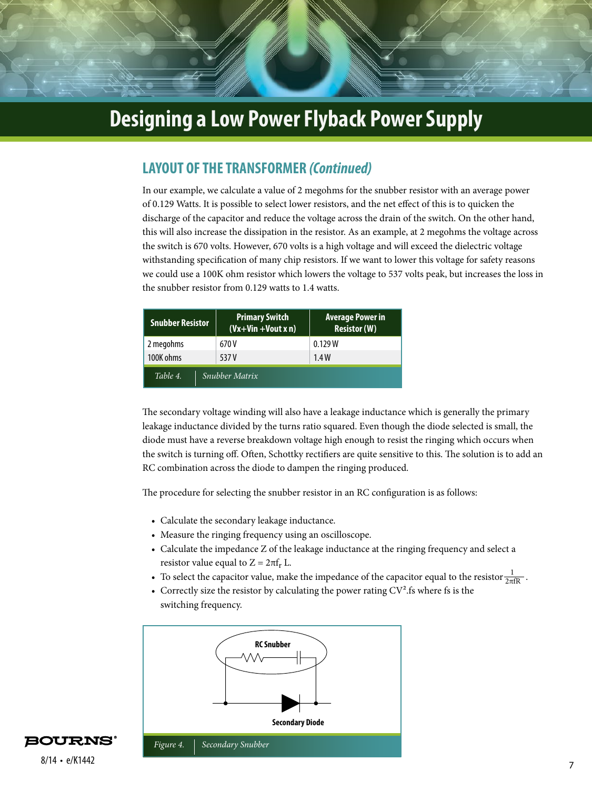### **LAYOUT OF THE TRANSFORMER** *(Continued)*

In our example, we calculate a value of 2 megohms for the snubber resistor with an average power of 0.129 Watts. It is possible to select lower resistors, and the net effect of this is to quicken the discharge of the capacitor and reduce the voltage across the drain of the switch. On the other hand, this will also increase the dissipation in the resistor. As an example, at 2 megohms the voltage across the switch is 670 volts. However, 670 volts is a high voltage and will exceed the dielectric voltage withstanding specification of many chip resistors. If we want to lower this voltage for safety reasons we could use a 100K ohm resistor which lowers the voltage to 537 volts peak, but increases the loss in the snubber resistor from 0.129 watts to 1.4 watts.

| <b>Snubber Resistor</b>          | <b>Primary Switch</b><br>$(Vx+Vin+Vout x n)$ | <b>Average Power in</b><br><b>Resistor (W)</b> |
|----------------------------------|----------------------------------------------|------------------------------------------------|
| 2 megohms                        | 670 V                                        | 0.129W                                         |
| 100K ohms                        | 537 V                                        | 1.4W                                           |
| Table 4<br><b>Snubber Matrix</b> |                                              |                                                |

The secondary voltage winding will also have a leakage inductance which is generally the primary leakage inductance divided by the turns ratio squared. Even though the diode selected is small, the diode must have a reverse breakdown voltage high enough to resist the ringing which occurs when the switch is turning off. Often, Schottky rectifiers are quite sensitive to this. The solution is to add an RC combination across the diode to dampen the ringing produced.

The procedure for selecting the snubber resistor in an RC configuration is as follows:

- Calculate the secondary leakage inductance.
- Measure the ringing frequency using an oscilloscope.
- Calculate the impedance Z of the leakage inductance at the ringing frequency and select a resistor value equal to  $Z = 2\pi f_r L$ .
- To select the capacitor value, make the impedance of the capacitor equal to the resistor  $\frac{1}{2\pi fR}$ . 2πfR
- Correctly size the resistor by calculating the power rating  $CV<sup>2</sup>$ .fs where fs is the switching frequency.



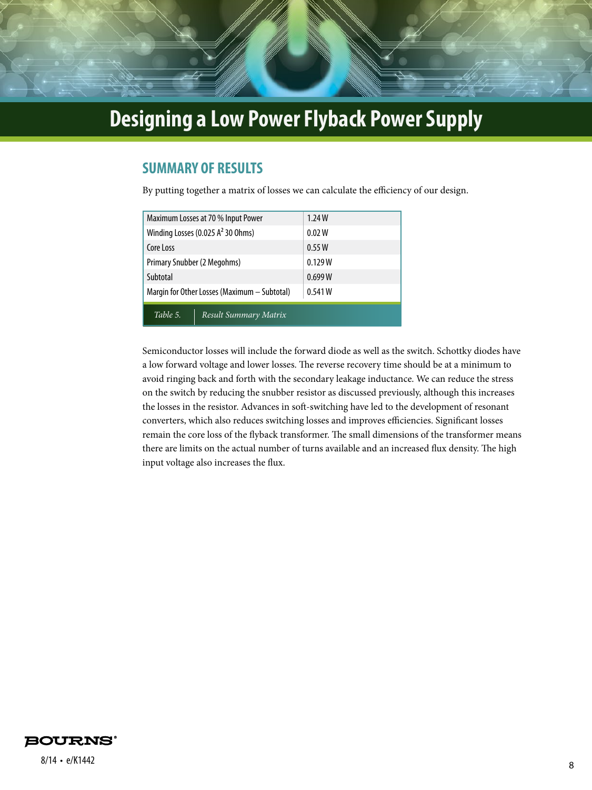### **SUMMARY OF RESULTS**

By putting together a matrix of losses we can calculate the efficiency of our design.

| Maximum Losses at 70 % Input Power           | 1.24W   |
|----------------------------------------------|---------|
| Winding Losses (0.025 $A2$ 30 Ohms)          | 0.02 W  |
| Core Loss                                    | 0.55W   |
| Primary Snubber (2 Megohms)                  | 0.129W  |
| Subtotal                                     | 0.699 W |
| Margin for Other Losses (Maximum – Subtotal) | 0.541 W |
| Table 5.<br>Result Summary Matrix            |         |

Semiconductor losses will include the forward diode as well as the switch. Schottky diodes have a low forward voltage and lower losses. The reverse recovery time should be at a minimum to avoid ringing back and forth with the secondary leakage inductance. We can reduce the stress on the switch by reducing the snubber resistor as discussed previously, although this increases the losses in the resistor. Advances in soft-switching have led to the development of resonant converters, which also reduces switching losses and improves efficiencies. Significant losses remain the core loss of the flyback transformer. The small dimensions of the transformer means there are limits on the actual number of turns available and an increased flux density. The high input voltage also increases the flux.



<sup>8</sup> 8/14 • e/K1442